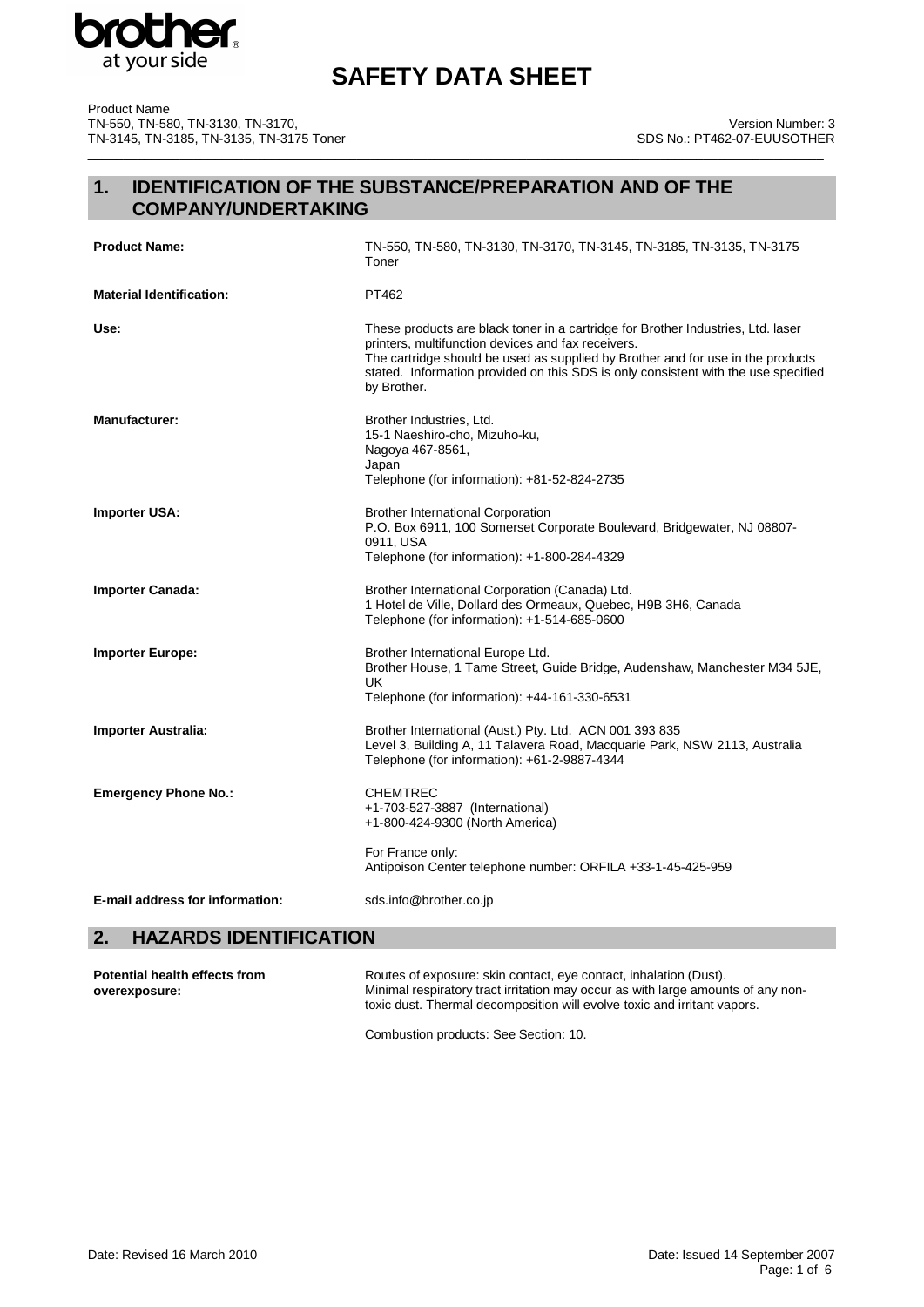

\_\_\_\_\_\_\_\_\_\_\_\_\_\_\_\_\_\_\_\_\_\_\_\_\_\_\_\_\_\_\_\_\_\_\_\_\_\_\_\_\_\_\_\_\_\_\_\_\_\_\_\_\_\_\_\_\_\_\_\_\_\_\_\_\_\_\_\_\_\_\_\_\_\_\_\_\_\_\_\_\_\_\_\_\_\_\_\_\_\_\_\_\_\_\_\_\_\_\_\_\_\_\_\_

Product Name TN-550, TN-580, TN-3130, TN-3170, TN-3145, TN-3185, TN-3135, TN-3175 Toner

### Version Number: 3 SDS No.: PT462-07-EUUSOTHER

# **1. IDENTIFICATION OF THE SUBSTANCE/PREPARATION AND OF THE COMPANY/UNDERTAKING**

| <b>Product Name:</b>            | TN-550, TN-580, TN-3130, TN-3170, TN-3145, TN-3185, TN-3135, TN-3175<br>Toner                                                                                                                                                                                                                                                  |  |  |
|---------------------------------|--------------------------------------------------------------------------------------------------------------------------------------------------------------------------------------------------------------------------------------------------------------------------------------------------------------------------------|--|--|
| <b>Material Identification:</b> | PT462                                                                                                                                                                                                                                                                                                                          |  |  |
| Use:                            | These products are black toner in a cartridge for Brother Industries, Ltd. laser<br>printers, multifunction devices and fax receivers.<br>The cartridge should be used as supplied by Brother and for use in the products<br>stated. Information provided on this SDS is only consistent with the use specified<br>by Brother. |  |  |
| <b>Manufacturer:</b>            | Brother Industries, Ltd.<br>15-1 Naeshiro-cho, Mizuho-ku,<br>Nagoya 467-8561,<br>Japan<br>Telephone (for information): +81-52-824-2735                                                                                                                                                                                         |  |  |
| <b>Importer USA:</b>            | <b>Brother International Corporation</b><br>P.O. Box 6911, 100 Somerset Corporate Boulevard, Bridgewater, NJ 08807-<br>0911, USA<br>Telephone (for information): +1-800-284-4329                                                                                                                                               |  |  |
| <b>Importer Canada:</b>         | Brother International Corporation (Canada) Ltd.<br>1 Hotel de Ville, Dollard des Ormeaux, Quebec, H9B 3H6, Canada<br>Telephone (for information): +1-514-685-0600                                                                                                                                                              |  |  |
| <b>Importer Europe:</b>         | Brother International Europe Ltd.<br>Brother House, 1 Tame Street, Guide Bridge, Audenshaw, Manchester M34 5JE,<br><b>UK</b><br>Telephone (for information): +44-161-330-6531                                                                                                                                                  |  |  |
| <b>Importer Australia:</b>      | Brother International (Aust.) Pty. Ltd. ACN 001 393 835<br>Level 3, Building A, 11 Talavera Road, Macquarie Park, NSW 2113, Australia<br>Telephone (for information): +61-2-9887-4344                                                                                                                                          |  |  |
| <b>Emergency Phone No.:</b>     | <b>CHEMTREC</b><br>+1-703-527-3887 (International)<br>+1-800-424-9300 (North America)<br>For France only:<br>Antipoison Center telephone number: ORFILA +33-1-45-425-959                                                                                                                                                       |  |  |
| E-mail address for information: | sds.info@brother.co.jp                                                                                                                                                                                                                                                                                                         |  |  |

# **2. HAZARDS IDENTIFICATION**

| Potential health effects from | Routes of exposure: skin contact, eye contact, inhalation (Dust).                                                                                            |
|-------------------------------|--------------------------------------------------------------------------------------------------------------------------------------------------------------|
| overexposure:                 | Minimal respiratory tract irritation may occur as with large amounts of any non-<br>toxic dust. Thermal decomposition will evolve toxic and irritant vapors. |
|                               |                                                                                                                                                              |

Combustion products: See Section: 10.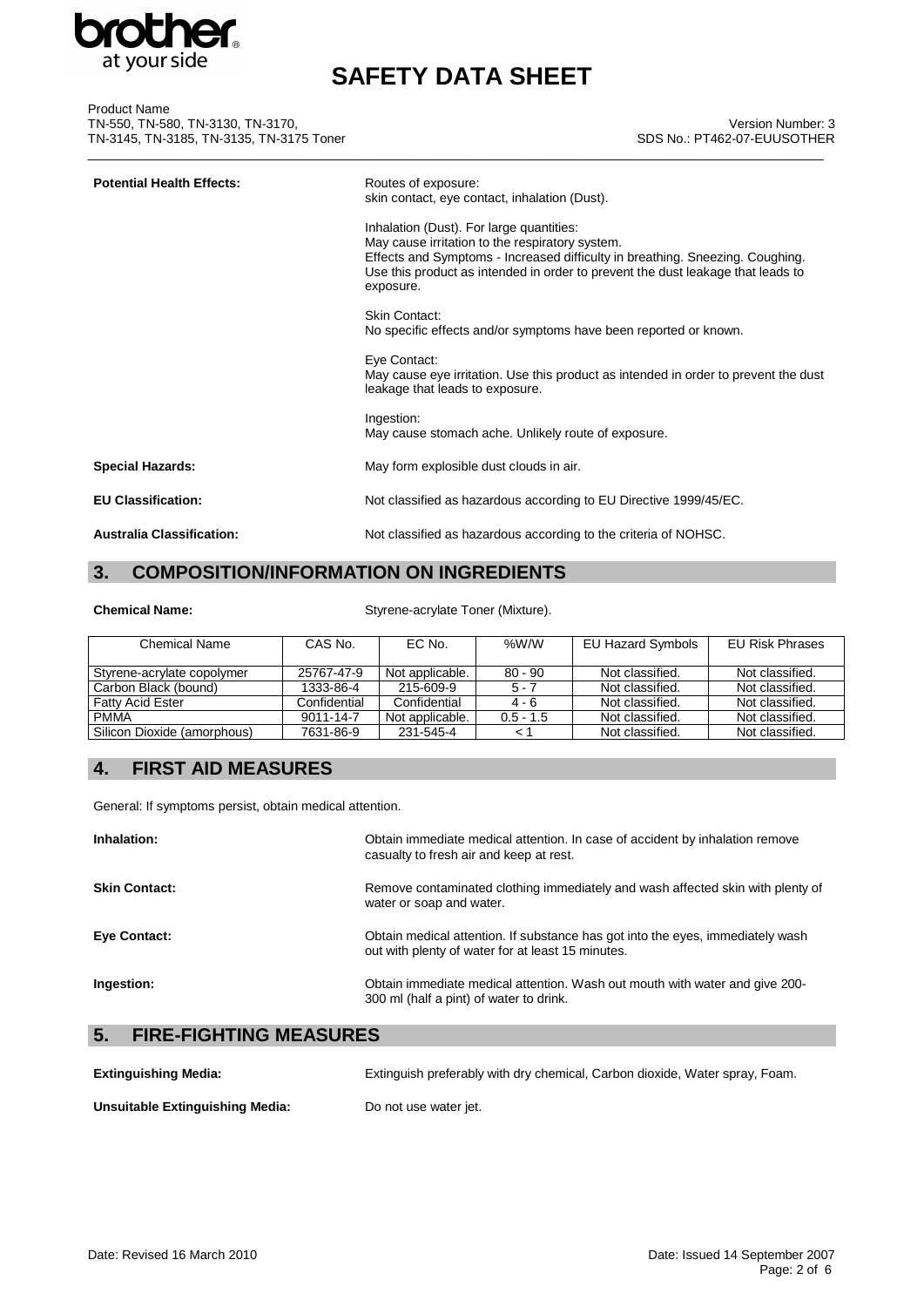

| <b>Product Name</b>                      |                            |
|------------------------------------------|----------------------------|
| TN-550, TN-580, TN-3130, TN-3170,        | <b>Version Number</b>      |
| TN-3145, TN-3185, TN-3135, TN-3175 Toner | SDS No.: PT462-07-EUUSOTHE |
|                                          |                            |

### Version Number: 3 SDS No.: PT462-07-EUUSOTHER

| <b>Potential Health Effects:</b> | Routes of exposure:<br>skin contact, eye contact, inhalation (Dust).                                                                                                                                                                                                         |
|----------------------------------|------------------------------------------------------------------------------------------------------------------------------------------------------------------------------------------------------------------------------------------------------------------------------|
|                                  | Inhalation (Dust). For large quantities:<br>May cause irritation to the respiratory system.<br>Effects and Symptoms - Increased difficulty in breathing. Sneezing. Coughing.<br>Use this product as intended in order to prevent the dust leakage that leads to<br>exposure. |
|                                  | Skin Contact:<br>No specific effects and/or symptoms have been reported or known.                                                                                                                                                                                            |
|                                  | Eye Contact:<br>May cause eye irritation. Use this product as intended in order to prevent the dust<br>leakage that leads to exposure.                                                                                                                                       |
|                                  | Ingestion:<br>May cause stomach ache. Unlikely route of exposure.                                                                                                                                                                                                            |
| <b>Special Hazards:</b>          | May form explosible dust clouds in air.                                                                                                                                                                                                                                      |
| <b>EU Classification:</b>        | Not classified as hazardous according to EU Directive 1999/45/EC.                                                                                                                                                                                                            |
| <b>Australia Classification:</b> | Not classified as hazardous according to the criteria of NOHSC.                                                                                                                                                                                                              |

# **3. COMPOSITION/INFORMATION ON INGREDIENTS**

**Chemical Name:** Styrene-acrylate Toner (Mixture).

| <b>Chemical Name</b>        | CAS No.      | EC No.          | %W/W        | EU Hazard Symbols | EU Risk Phrases |
|-----------------------------|--------------|-----------------|-------------|-------------------|-----------------|
| Styrene-acrylate copolymer  | 25767-47-9   | Not applicable. | $80 - 90$   | Not classified.   | Not classified. |
| Carbon Black (bound)        | 1333-86-4    | 215-609-9       | $5 - 7$     | Not classified.   | Not classified. |
| <b>Fatty Acid Ester</b>     | Confidential | Confidential    | $4 - 6$     | Not classified.   | Not classified. |
| <b>PMMA</b>                 | 9011-14-7    | Not applicable. | $0.5 - 1.5$ | Not classified.   | Not classified. |
| Silicon Dioxide (amorphous) | 7631-86-9    | 231-545-4       |             | Not classified.   | Not classified. |

# **4. FIRST AID MEASURES**

General: If symptoms persist, obtain medical attention.

| Inhalation:                         | Obtain immediate medical attention. In case of accident by inhalation remove<br>casualty to fresh air and keep at rest.             |
|-------------------------------------|-------------------------------------------------------------------------------------------------------------------------------------|
| <b>Skin Contact:</b>                | Remove contaminated clothing immediately and wash affected skin with plenty of<br>water or soap and water.                          |
| <b>Eye Contact:</b>                 | Obtain medical attention. If substance has got into the eyes, immediately wash<br>out with plenty of water for at least 15 minutes. |
| Ingestion:                          | Obtain immediate medical attention. Wash out mouth with water and give 200-<br>300 ml (half a pint) of water to drink.              |
| 5.<br><b>FIRE-FIGHTING MEASURES</b> |                                                                                                                                     |

| <b>Extinguishing Media:</b>     | Extinguish preferably with dry chemical, Carbon dioxide, Water spray, Foam. |
|---------------------------------|-----------------------------------------------------------------------------|
| Unsuitable Extinguishing Media: | Do not use water jet.                                                       |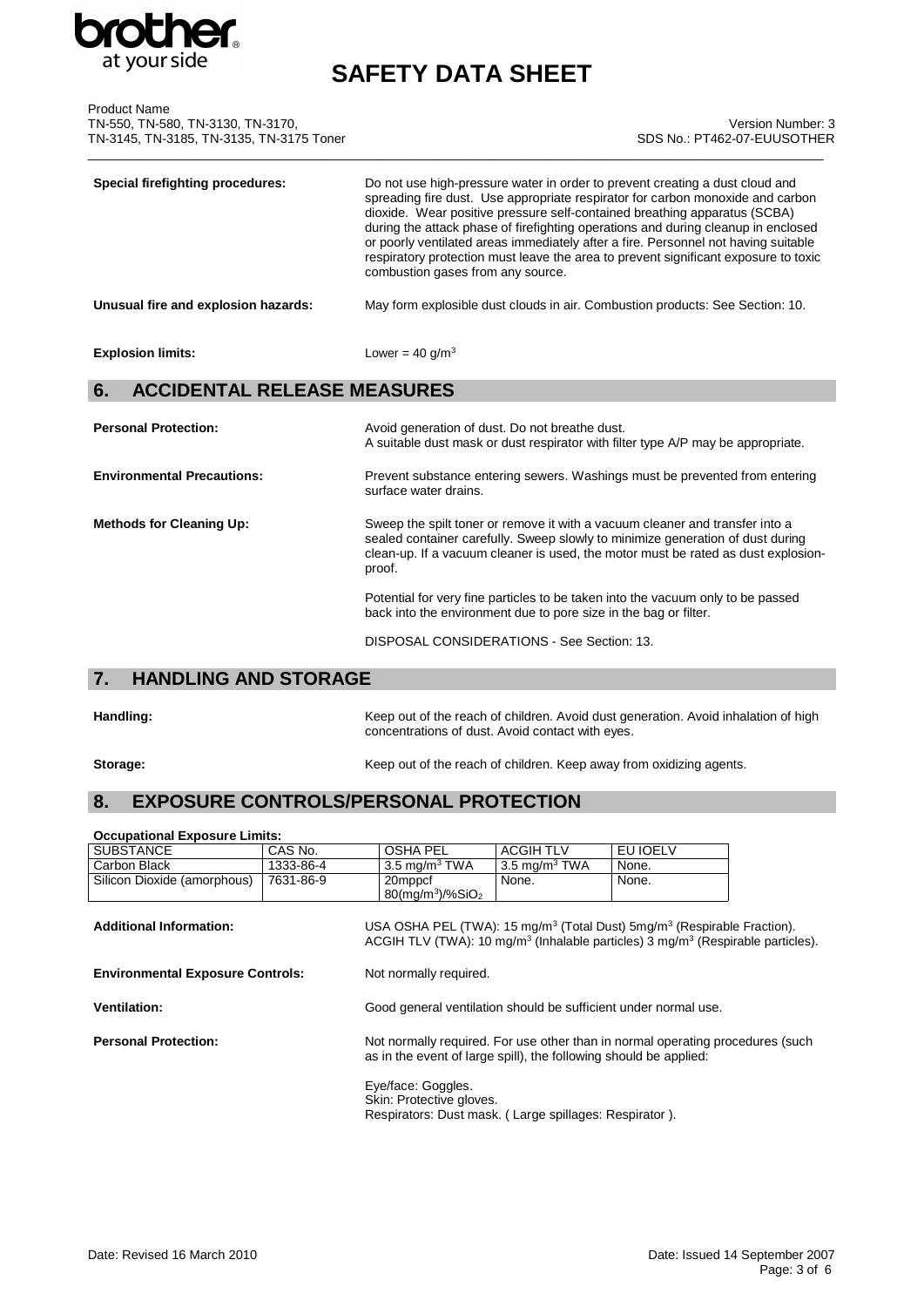

| <b>Product Name</b><br>TN-550, TN-580, TN-3130, TN-3170,<br>TN-3145, TN-3185, TN-3135, TN-3175 Toner | Version Number: 3<br>SDS No.: PT462-07-EUUSOTHER                                                                                                                                                                                                                                                                                                                                                                                                                                                                                                   |
|------------------------------------------------------------------------------------------------------|----------------------------------------------------------------------------------------------------------------------------------------------------------------------------------------------------------------------------------------------------------------------------------------------------------------------------------------------------------------------------------------------------------------------------------------------------------------------------------------------------------------------------------------------------|
| <b>Special firefighting procedures:</b>                                                              | Do not use high-pressure water in order to prevent creating a dust cloud and<br>spreading fire dust. Use appropriate respirator for carbon monoxide and carbon<br>dioxide. Wear positive pressure self-contained breathing apparatus (SCBA)<br>during the attack phase of firefighting operations and during cleanup in enclosed<br>or poorly ventilated areas immediately after a fire. Personnel not having suitable<br>respiratory protection must leave the area to prevent significant exposure to toxic<br>combustion gases from any source. |
| Unusual fire and explosion hazards:                                                                  | May form explosible dust clouds in air. Combustion products: See Section: 10.                                                                                                                                                                                                                                                                                                                                                                                                                                                                      |
| <b>Explosion limits:</b>                                                                             | Lower = $40$ g/m <sup>3</sup>                                                                                                                                                                                                                                                                                                                                                                                                                                                                                                                      |
| <b>ACCIDENTAL RELEASE MEASURES</b><br>6.                                                             |                                                                                                                                                                                                                                                                                                                                                                                                                                                                                                                                                    |
| <b>Personal Protection:</b>                                                                          | Avoid generation of dust. Do not breathe dust.<br>A suitable dust mask or dust respirator with filter type A/P may be appropriate.                                                                                                                                                                                                                                                                                                                                                                                                                 |
| <b>Environmental Precautions:</b>                                                                    | Prevent substance entering sewers. Washings must be prevented from entering<br>surface water drains.                                                                                                                                                                                                                                                                                                                                                                                                                                               |
| <b>Methods for Cleaning Up:</b>                                                                      | Sweep the spilt toner or remove it with a vacuum cleaner and transfer into a<br>sealed container carefully. Sweep slowly to minimize generation of dust during<br>clean-up. If a vacuum cleaner is used, the motor must be rated as dust explosion-<br>proof.                                                                                                                                                                                                                                                                                      |

Potential for very fine particles to be taken into the vacuum only to be passed back into the environment due to pore size in the bag or filter.

DISPOSAL CONSIDERATIONS - See Section: 13.

# **7. HANDLING AND STORAGE**

Handling: **Handling:** Keep out of the reach of children. Avoid dust generation. Avoid inhalation of high concentrations of dust. Avoid contact with eyes.

**Storage:** Storage: **Keep out of the reach of children. Keep away from oxidizing agents.** 

# **8. EXPOSURE CONTROLS/PERSONAL PROTECTION**

| <b>Occupational Exposure Limits:</b>                                                                                                                                                                                                         |           |                                                                                                                                                     |                  |          |  |
|----------------------------------------------------------------------------------------------------------------------------------------------------------------------------------------------------------------------------------------------|-----------|-----------------------------------------------------------------------------------------------------------------------------------------------------|------------------|----------|--|
| <b>SUBSTANCE</b>                                                                                                                                                                                                                             | CAS No.   | <b>OSHA PEL</b>                                                                                                                                     | <b>ACGIH TLV</b> | EU IOELV |  |
| Carbon Black                                                                                                                                                                                                                                 | 1333-86-4 | 3.5 mg/m $3$ TWA                                                                                                                                    | 3.5 mg/m $3$ TWA | None.    |  |
| Silicon Dioxide (amorphous)                                                                                                                                                                                                                  | 7631-86-9 | 20mppcf<br>$80$ (mg/m <sup>3</sup> )/%SiO <sub>2</sub>                                                                                              | None.            | None.    |  |
| USA OSHA PEL (TWA): 15 mg/m <sup>3</sup> (Total Dust) 5mg/m <sup>3</sup> (Respirable Fraction).<br><b>Additional Information:</b><br>ACGIH TLV (TWA): 10 mg/m <sup>3</sup> (Inhalable particles) 3 mg/m <sup>3</sup> (Respirable particles). |           |                                                                                                                                                     |                  |          |  |
| <b>Environmental Exposure Controls:</b>                                                                                                                                                                                                      |           | Not normally required.                                                                                                                              |                  |          |  |
| <b>Ventilation:</b>                                                                                                                                                                                                                          |           | Good general ventilation should be sufficient under normal use.                                                                                     |                  |          |  |
| <b>Personal Protection:</b>                                                                                                                                                                                                                  |           | Not normally required. For use other than in normal operating procedures (such<br>as in the event of large spill), the following should be applied: |                  |          |  |
|                                                                                                                                                                                                                                              |           | Eye/face: Goggles.<br>Skin: Protective gloves.<br>Respirators: Dust mask. (Large spillages: Respirator).                                            |                  |          |  |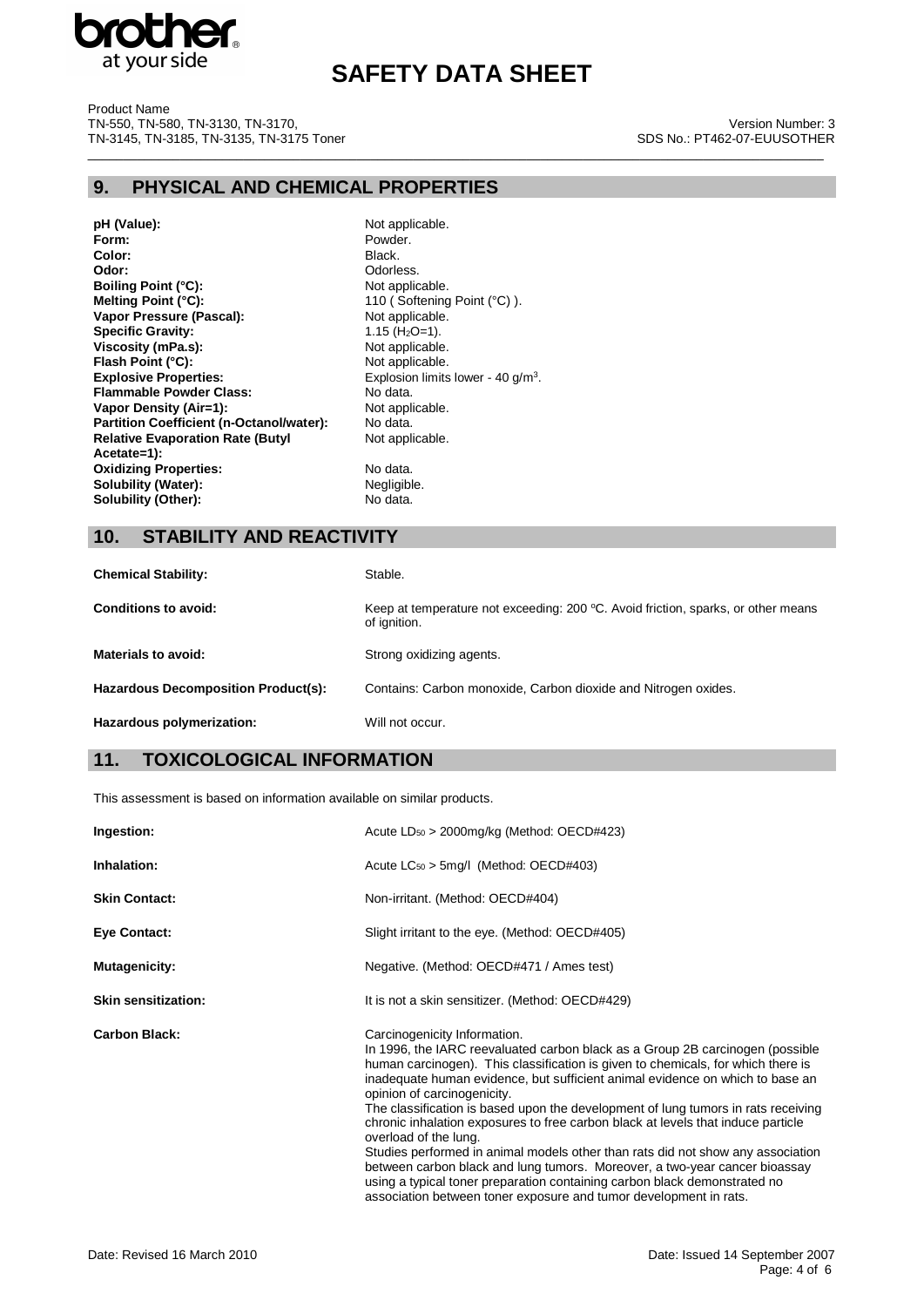

\_\_\_\_\_\_\_\_\_\_\_\_\_\_\_\_\_\_\_\_\_\_\_\_\_\_\_\_\_\_\_\_\_\_\_\_\_\_\_\_\_\_\_\_\_\_\_\_\_\_\_\_\_\_\_\_\_\_\_\_\_\_\_\_\_\_\_\_\_\_\_\_\_\_\_\_\_\_\_\_\_\_\_\_\_\_\_\_\_\_\_\_\_\_\_\_\_\_\_\_\_\_\_\_

Product Name TN-550, TN-580, TN-3130, TN-3170, TN-3145, TN-3185, TN-3135, TN-3175 Toner

### Version Number: 3 SDS No.: PT462-07-EUUSOTHER

### **9. PHYSICAL AND CHEMICAL PROPERTIES**

**pH (Value):** Not applicable.<br> **Form:** Powder. Color:<br>Odor: **Boiling Point (°C):**<br>Melting Point (°C): **Vapor Pressure (Pascal):** Not applicable<br> **Specific Gravity:** 1.15 (H<sub>2</sub>O=1). **Specific Gravity:**  $1.15 \text{ (H}_2\text{O}=1).$ <br> **Viscosity (mPa.s):** Not applicable. **Viscosity (mPa.s):** Not applicable.<br>
Flash Point (°C): Not applicable. **Flash Point (°C):**<br>Explosive Properties: **Explosive Properties:** Explosion limits lower - 40 g/m<sup>3</sup>. **Flammable Powder Class:** No data.<br> **Vapor Density (Air=1):** Not applicable. **Vapor Density (Air=1):** Not applicable. Not applicable. Not applicable. No data. **Partition Coefficient (n-Octanol/water): Relative Evaporation Rate (Butyl Acetate=1): Oxidizing Properties:** No data.<br> **Solubility (Water):** Negligible. **Solubility (Water):**<br> **Solubility (Other):** No data. **Solubility (Other):** 

Powder.<br>Black. Odorless.<br>Not applicable. 110 (Softening Point (°C)).<br>Not applicable. Not applicable.

### **10. STABILITY AND REACTIVITY**

| <b>Chemical Stability:</b>                 | Stable.                                                                                                        |
|--------------------------------------------|----------------------------------------------------------------------------------------------------------------|
| <b>Conditions to avoid:</b>                | Keep at temperature not exceeding: $200 \, \text{°C}$ . Avoid friction, sparks, or other means<br>of ignition. |
| Materials to avoid:                        | Strong oxidizing agents.                                                                                       |
| <b>Hazardous Decomposition Product(s):</b> | Contains: Carbon monoxide, Carbon dioxide and Nitrogen oxides.                                                 |
| Hazardous polymerization:                  | Will not occur.                                                                                                |

## **11. TOXICOLOGICAL INFORMATION**

This assessment is based on information available on similar products.

| Ingestion:                 | Acute $LD_{50} > 2000$ mg/kg (Method: OECD#423)                                                                                                                                                                                                                                                                                                                                                                                                                                                                                                                                                                                                                                                                                                                                                                                        |  |  |  |
|----------------------------|----------------------------------------------------------------------------------------------------------------------------------------------------------------------------------------------------------------------------------------------------------------------------------------------------------------------------------------------------------------------------------------------------------------------------------------------------------------------------------------------------------------------------------------------------------------------------------------------------------------------------------------------------------------------------------------------------------------------------------------------------------------------------------------------------------------------------------------|--|--|--|
| Inhalation:                | Acute $LC_{50}$ > 5mg/l (Method: OECD#403)                                                                                                                                                                                                                                                                                                                                                                                                                                                                                                                                                                                                                                                                                                                                                                                             |  |  |  |
| <b>Skin Contact:</b>       | Non-irritant. (Method: OECD#404)                                                                                                                                                                                                                                                                                                                                                                                                                                                                                                                                                                                                                                                                                                                                                                                                       |  |  |  |
| <b>Eye Contact:</b>        | Slight irritant to the eye. (Method: OECD#405)                                                                                                                                                                                                                                                                                                                                                                                                                                                                                                                                                                                                                                                                                                                                                                                         |  |  |  |
| Mutagenicity:              | Negative. (Method: OECD#471 / Ames test)                                                                                                                                                                                                                                                                                                                                                                                                                                                                                                                                                                                                                                                                                                                                                                                               |  |  |  |
| <b>Skin sensitization:</b> | It is not a skin sensitizer. (Method: OECD#429)                                                                                                                                                                                                                                                                                                                                                                                                                                                                                                                                                                                                                                                                                                                                                                                        |  |  |  |
| <b>Carbon Black:</b>       | Carcinogenicity Information.<br>In 1996, the IARC reevaluated carbon black as a Group 2B carcinogen (possible<br>human carcinogen). This classification is given to chemicals, for which there is<br>inadequate human evidence, but sufficient animal evidence on which to base an<br>opinion of carcinogenicity.<br>The classification is based upon the development of lung tumors in rats receiving<br>chronic inhalation exposures to free carbon black at levels that induce particle<br>overload of the lung.<br>Studies performed in animal models other than rats did not show any association<br>between carbon black and lung tumors. Moreover, a two-year cancer bioassay<br>using a typical toner preparation containing carbon black demonstrated no<br>association between toner exposure and tumor development in rats. |  |  |  |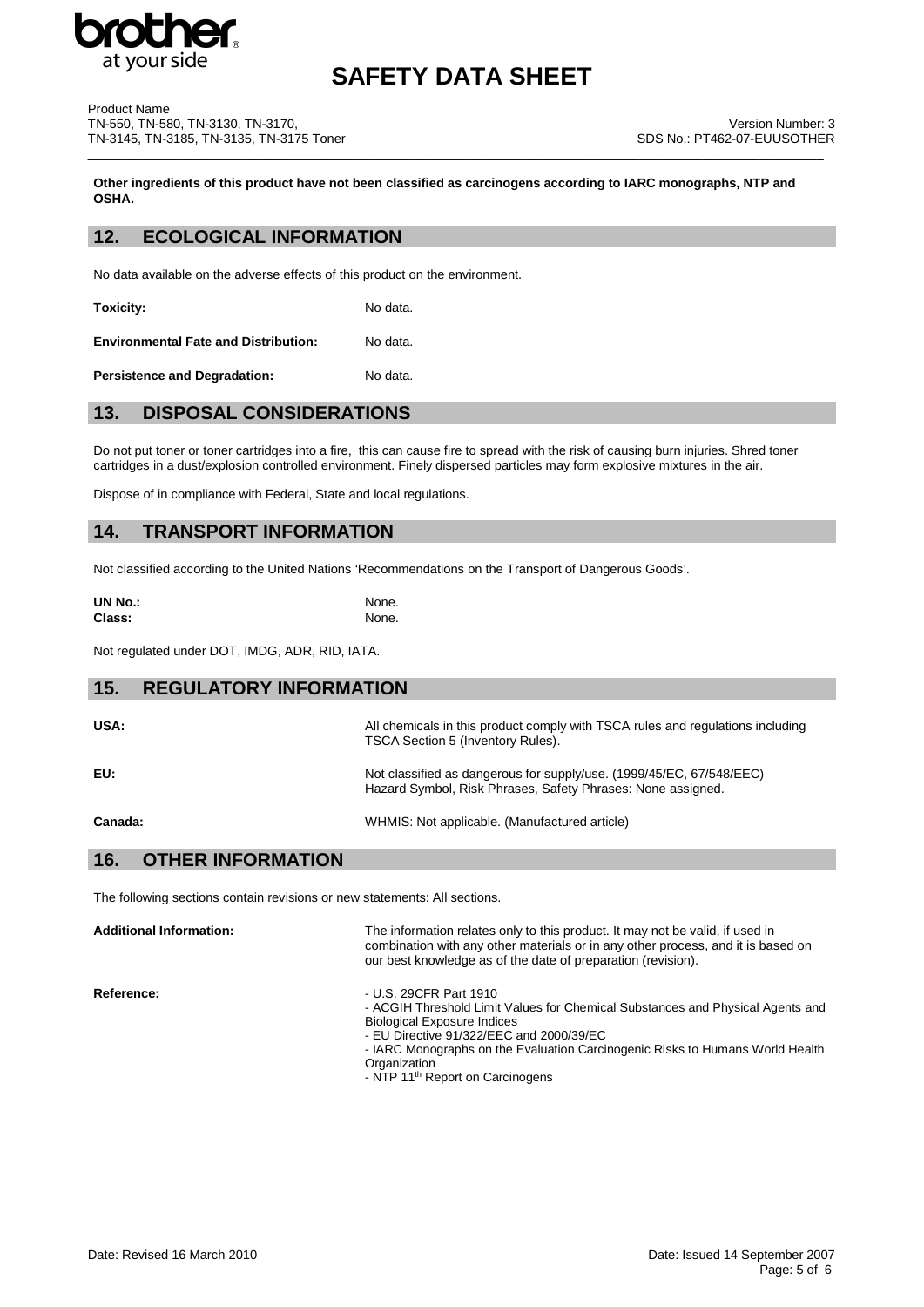

| Product Name                             |  |
|------------------------------------------|--|
| TN-550. TN-580. TN-3130. TN-3170.        |  |
| TN-3145. TN-3185. TN-3135. TN-3175 Toner |  |

**Other ingredients of this product have not been classified as carcinogens according to IARC monographs, NTP and OSHA.**

\_\_\_\_\_\_\_\_\_\_\_\_\_\_\_\_\_\_\_\_\_\_\_\_\_\_\_\_\_\_\_\_\_\_\_\_\_\_\_\_\_\_\_\_\_\_\_\_\_\_\_\_\_\_\_\_\_\_\_\_\_\_\_\_\_\_\_\_\_\_\_\_\_\_\_\_\_\_\_\_\_\_\_\_\_\_\_\_\_\_\_\_\_\_\_\_\_\_\_\_\_\_\_\_

### **12. ECOLOGICAL INFORMATION**

No data available on the adverse effects of this product on the environment.

**Toxicity:** No data.

**Environmental Fate and Distribution:** No data.

**Persistence and Degradation:** No data.

## **13. DISPOSAL CONSIDERATIONS**

Do not put toner or toner cartridges into a fire, this can cause fire to spread with the risk of causing burn injuries. Shred toner cartridges in a dust/explosion controlled environment. Finely dispersed particles may form explosive mixtures in the air.

Dispose of in compliance with Federal, State and local regulations.

### **14. TRANSPORT INFORMATION**

Not classified according to the United Nations 'Recommendations on the Transport of Dangerous Goods'.

| <b>UN No.:</b> | None. |
|----------------|-------|
| Class:         | None. |

Not regulated under DOT, IMDG, ADR, RID, IATA.

# **15. REGULATORY INFORMATION** USA: USA: All chemicals in this product comply with TSCA rules and regulations including TSCA Section 5 (Inventory Rules). **EU:** Not classified as dangerous for supply/use. (1999/45/EC, 67/548/EEC)

**Canada:** WHMIS: Not applicable. (Manufactured article)

Hazard Symbol, Risk Phrases, Safety Phrases: None assigned.

### **16. OTHER INFORMATION**

The following sections contain revisions or new statements: All sections.

**Additional Information:** The information relates only to this product. It may not be valid, if used in combination with any other materials or in any other process, and it is based on our best knowledge as of the date of preparation (revision). **Reference:**  $-$  U.S. 29CFR Part 1910 - ACGIH Threshold Limit Values for Chemical Substances and Physical Agents and Biological Exposure Indices

- EU Directive 91/322/EEC and 2000/39/EC
- IARC Monographs on the Evaluation Carcinogenic Risks to Humans World Health **Organization**
- NTP 11<sup>th</sup> Report on Carcinogens